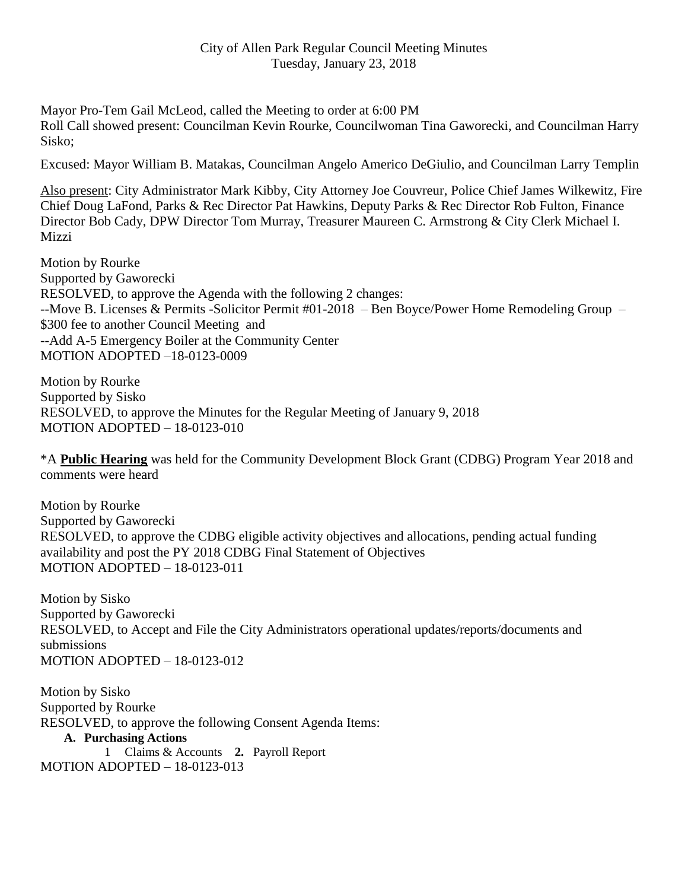Mayor Pro-Tem Gail McLeod, called the Meeting to order at 6:00 PM Roll Call showed present: Councilman Kevin Rourke, Councilwoman Tina Gaworecki, and Councilman Harry Sisko;

Excused: Mayor William B. Matakas, Councilman Angelo Americo DeGiulio, and Councilman Larry Templin

Also present: City Administrator Mark Kibby, City Attorney Joe Couvreur, Police Chief James Wilkewitz, Fire Chief Doug LaFond, Parks & Rec Director Pat Hawkins, Deputy Parks & Rec Director Rob Fulton, Finance Director Bob Cady, DPW Director Tom Murray, Treasurer Maureen C. Armstrong & City Clerk Michael I. **Mizzi** 

Motion by Rourke Supported by Gaworecki RESOLVED, to approve the Agenda with the following 2 changes: --Move B. Licenses & Permits -Solicitor Permit #01-2018 – Ben Boyce/Power Home Remodeling Group – \$300 fee to another Council Meeting and --Add A-5 Emergency Boiler at the Community Center MOTION ADOPTED –18-0123-0009

Motion by Rourke Supported by Sisko RESOLVED, to approve the Minutes for the Regular Meeting of January 9, 2018 MOTION ADOPTED – 18-0123-010

\*A **Public Hearing** was held for the Community Development Block Grant (CDBG) Program Year 2018 and comments were heard

Motion by Rourke Supported by Gaworecki RESOLVED, to approve the CDBG eligible activity objectives and allocations, pending actual funding availability and post the PY 2018 CDBG Final Statement of Objectives MOTION ADOPTED – 18-0123-011

Motion by Sisko Supported by Gaworecki RESOLVED, to Accept and File the City Administrators operational updates/reports/documents and submissions MOTION ADOPTED – 18-0123-012

Motion by Sisko Supported by Rourke RESOLVED, to approve the following Consent Agenda Items: **A. Purchasing Actions** 1 Claims & Accounts **2.** Payroll Report MOTION ADOPTED – 18-0123-013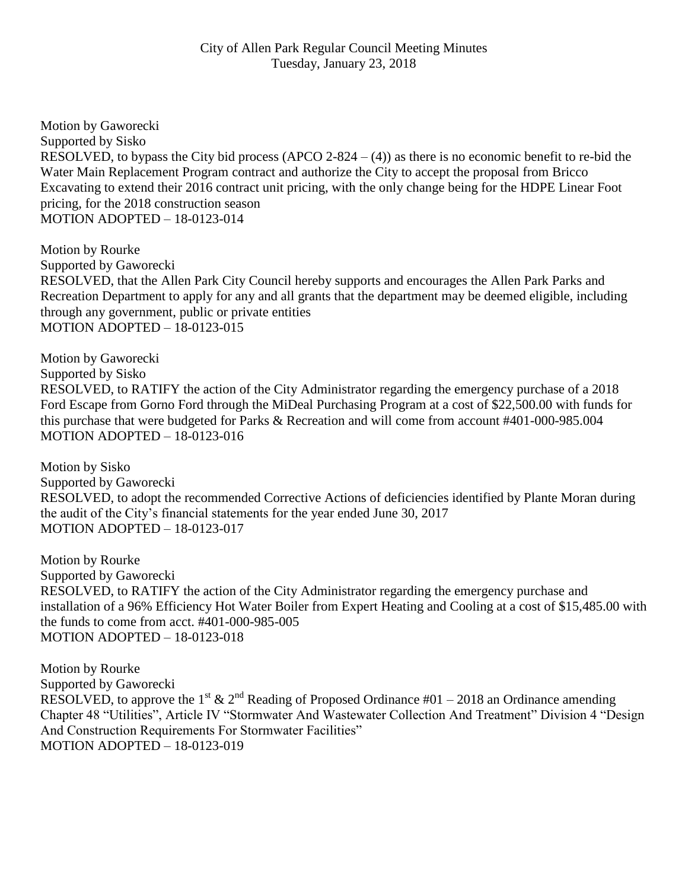Motion by Gaworecki Supported by Sisko RESOLVED, to bypass the City bid process (APCO 2-824 –  $(4)$ ) as there is no economic benefit to re-bid the Water Main Replacement Program contract and authorize the City to accept the proposal from Bricco Excavating to extend their 2016 contract unit pricing, with the only change being for the HDPE Linear Foot pricing, for the 2018 construction season MOTION ADOPTED – 18-0123-014

Motion by Rourke Supported by Gaworecki RESOLVED, that the Allen Park City Council hereby supports and encourages the Allen Park Parks and Recreation Department to apply for any and all grants that the department may be deemed eligible, including through any government, public or private entities MOTION ADOPTED – 18-0123-015

Motion by Gaworecki Supported by Sisko RESOLVED, to RATIFY the action of the City Administrator regarding the emergency purchase of a 2018 Ford Escape from Gorno Ford through the MiDeal Purchasing Program at a cost of \$22,500.00 with funds for this purchase that were budgeted for Parks & Recreation and will come from account #401-000-985.004 MOTION ADOPTED – 18-0123-016

Motion by Sisko Supported by Gaworecki RESOLVED, to adopt the recommended Corrective Actions of deficiencies identified by Plante Moran during the audit of the City's financial statements for the year ended June 30, 2017 MOTION ADOPTED – 18-0123-017

Motion by Rourke Supported by Gaworecki RESOLVED, to RATIFY the action of the City Administrator regarding the emergency purchase and installation of a 96% Efficiency Hot Water Boiler from Expert Heating and Cooling at a cost of \$15,485.00 with the funds to come from acct. #401-000-985-005 MOTION ADOPTED – 18-0123-018

Motion by Rourke Supported by Gaworecki RESOLVED, to approve the 1<sup>st</sup> & 2<sup>nd</sup> Reading of Proposed Ordinance #01 – 2018 an Ordinance amending Chapter 48 "Utilities", Article IV "Stormwater And Wastewater Collection And Treatment" Division 4 "Design And Construction Requirements For Stormwater Facilities" MOTION ADOPTED – 18-0123-019